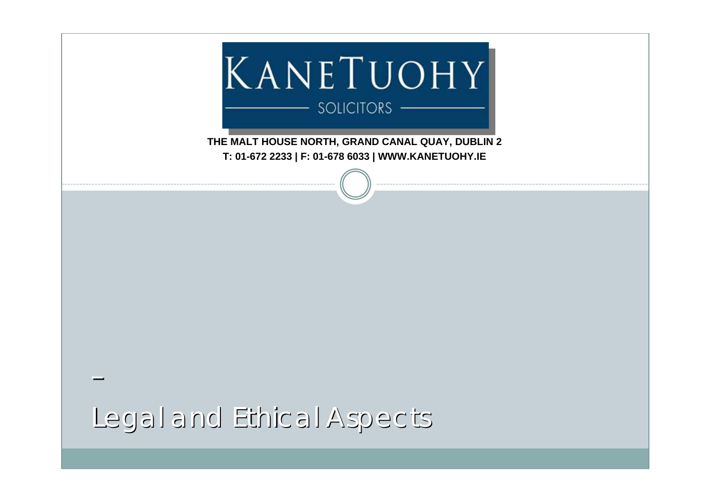

**THE MALT HOUSE NORTH, GRAND CANAL QUAY, DUBLIN 2 T: 01-672 2233 | F: 01-678 6033 | WWW.KANETUOHY.IE**

Legal and Ethical Aspects Legal and Ethical Aspects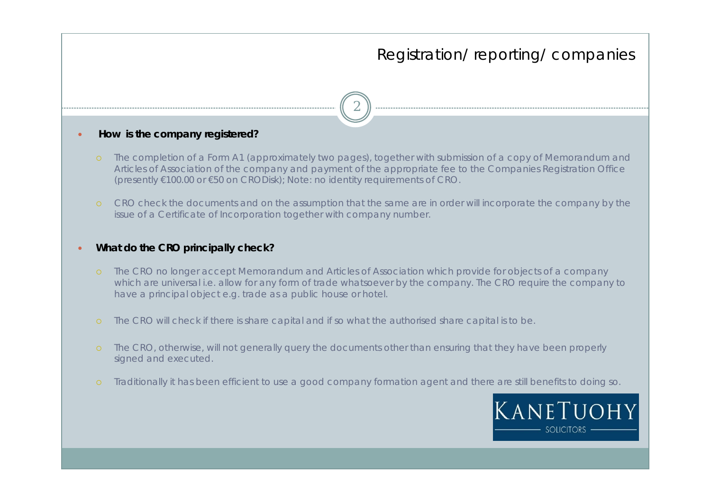2

#### $\bullet$ **How is the company registered?**

- The completion of a Form A1 (approximately two pages), together with submission of a copy of Memorandum and Articles of Association of the company and payment of the appropriate fee to the Companies Registration Office (presently €100.00 or €50 on CRODisk); Note: no identity requirements of CRO.
- CRO check the documents and on the assumption that the same are in order will incorporate the company by the issue of a Certificate of Incorporation together with company number.

#### $\bullet$ **What do the CRO principally check?**

- The CRO no longer accept Memorandum and Articles of Association which provide for objects of a company which are universal i.e. allow for any form of trade whatsoever by the company. The CRO require the company to have a principal object e.g. trade as a public house or hotel.
- The CRO will check if there is share capital and if so what the authorised share capital is to be.
- The CRO, otherwise, will not generally query the documents other than ensuring that they have been properly signed and executed.
- Traditionally it has been efficient to use a good company formation agent and there are still benefits to doing so.

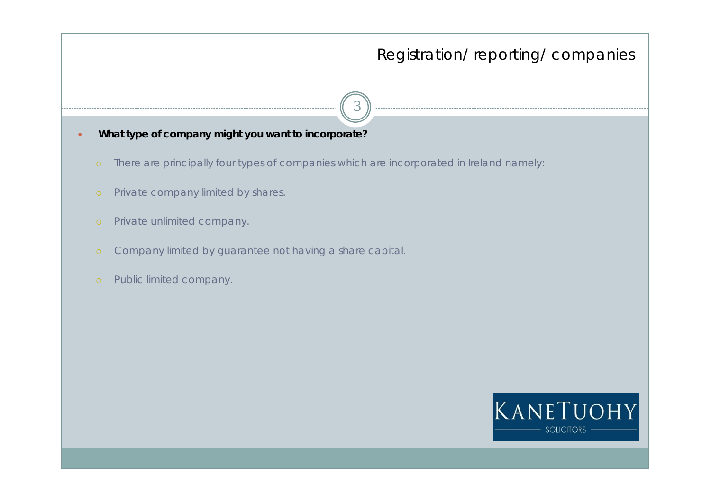- 3
- **What type of company might you want to incorporate?** 
	- There are principally four types of companies which are incorporated in Ireland namely:
	- Private company limited by shares.
	- Private unlimited company.

 $\bullet$ 

- Company limited by guarantee not having a share capital.
- Public limited company.

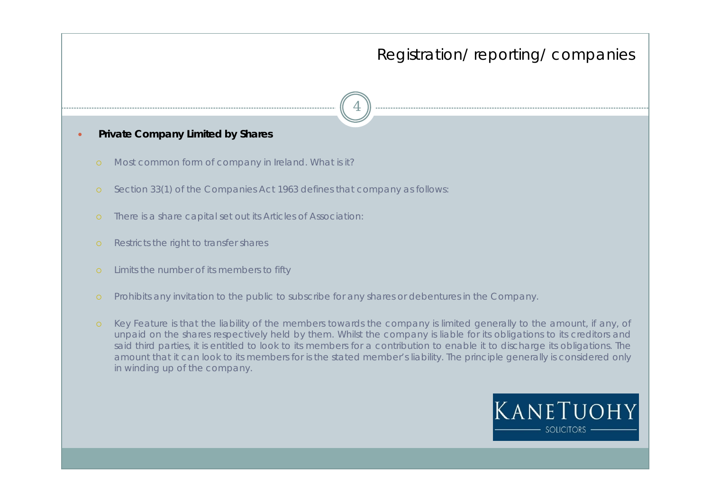- $\bullet$  **Private Company Limited by Shares** 
	- Most common form of company in Ireland. What is it?
	- Section 33(1) of the Companies Act 1963 defines that company as follows:
	- There is a share capital set out its Articles of Association:
	- Restricts the right to transfer shares
	- Limits the number of its members to fifty
	- Prohibits any invitation to the public to subscribe for any shares or debentures in the Company.
	- Key Feature is that the liability of the members towards the company is limited generally to the amount, if any, of unpaid on the shares respectively held by them. Whilst the company is liable for its obligations to its creditors and said third parties, it is entitled to look to its members for a contribution to enable it to discharge its obligations. The amount that it can look to its members for is the stated member's liability. The principle generally is considered only in winding up of the company.

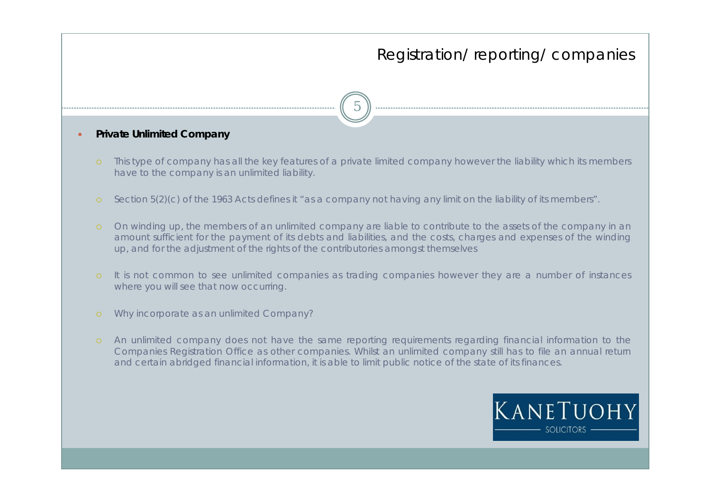5

### **Private Unlimited Company**

 $\bullet$ 

- This type of company has all the key features of a private limited company however the liability which its members have to the company is an unlimited liability.
- Section 5(2)(c) of the 1963 Acts defines it "as a company not having any limit on the liability of its members".
- On winding up, the members of an unlimited company are liable to contribute to the assets of the company in an amount sufficient for the payment of its debts and liabilities, and the costs, charges and expenses of the winding up, and for the adjustment of the rights of the contributories amongst themselves
- It is not common to see unlimited companies as trading companies however they are a number of instances where you will see that now occurring.
- Why incorporate as an unlimited Company?
- An unlimited company does not have the same reporting requirements regarding financial information to the Companies Registration Office as other companies. Whilst an unlimited company still has to file an annual return and certain abridged financial information, it is able to limit public notice of the state of its finances.

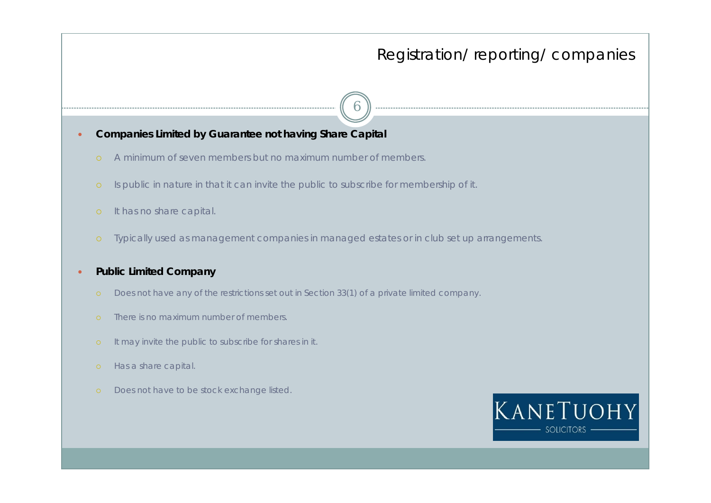- **Companies Limited by Guarantee not having Share Capital** 
	- A minimum of seven members but no maximum number of members.
	- Is public in nature in that it can invite the public to subscribe for membership of it.
	- It has no share capital.

 $\bullet$ 

Typically used as management companies in managed estates or in club set up arrangements.

6

#### $\bullet$ **Public Limited Company**

- Does not have any of the restrictions set out in Section 33(1) of a private limited company.
- There is no maximum number of members.
- It may invite the public to subscribe for shares in it.
- Has a share capital.
- Does not have to be stock exchange listed.

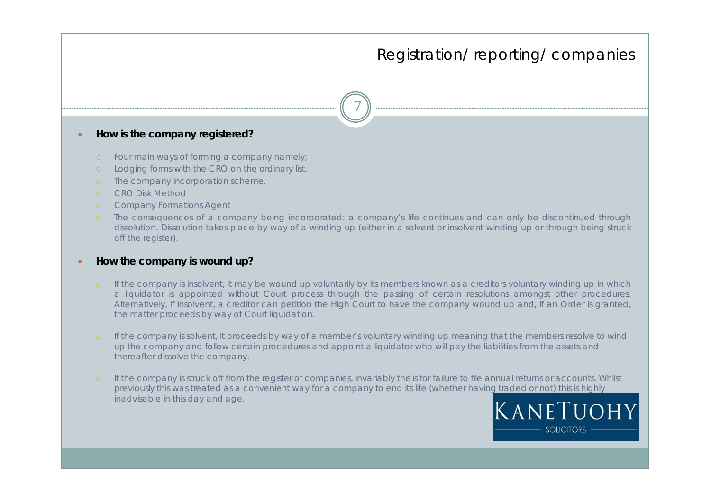- $\bullet$  **How is the company registered?** 
	- Four main ways of forming a company namely;
	- Lodging forms with the CRO on the ordinary list.
	- The company incorporation scheme.
	- CRO Disk Method
	- Company Formations Agent
	- The consequences of a company being incorporated: a company's life continues and can only be discontinued through dissolution. Dissolution takes place by way of a winding up (either in a solvent or insolvent winding up or through being struck off the register).

7

#### $\bullet$ **How the company is wound up?**

- If the company is insolvent, it may be wound up voluntarily by its members known as a creditors voluntary winding up in which a liquidator is appointed without Court process through the passing of certain resolutions amongst other procedures. Alternatively, if insolvent, a creditor can petition the High Court to have the company wound up and, if an Order is granted, the matter proceeds by way of Court liquidation.
- If the company is solvent, it proceeds by way of a member's voluntary winding up meaning that the members resolve to wind up the company and follow certain procedures and appoint a liquidator who will pay the liabilities from the assets and thereafter dissolve the company.
- If the company is struck off from the register of companies, invariably this is for failure to file annual returns or accounts. Whilst previously this was treated as a convenient way for a company to end its life (whether having traded or not) this is highly inadvisable in this day and age.

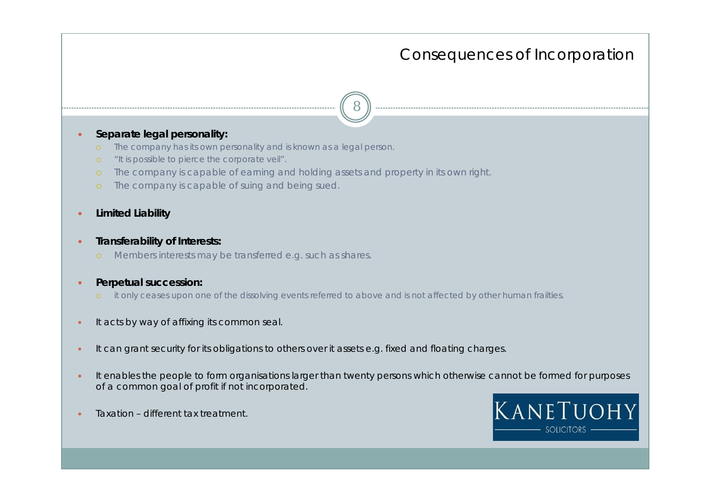### Consequences of Incorporation

8

### $\bullet$ **Separate legal personality:**

- The company has its own personality and is known as a legal person.
- "It is possible to pierce the corporate veil".
- The company is capable of earning and holding assets and property in its own right.
- The company is capable of suing and being sued.
- $\bullet$ **Limited Liability**
- $\bullet$  **Transferability of Interests:**
	- Members interests may be transferred e.g. such as shares.
- $\bullet$  **Perpetual succession:**
	- it only ceases upon one of the dissolving events referred to above and is not affected by other human frailties.
- $\bullet$ It acts by way of affixing its common seal.
- $\bullet$ It can grant security for its obligations to others over it assets e.g. fixed and floating charges.
- $\bullet$  It enables the people to form organisations larger than twenty persons which otherwise cannot be formed for purposes of a common goal of profit if not incorporated.
- $\bullet$ Taxation – different tax treatment.

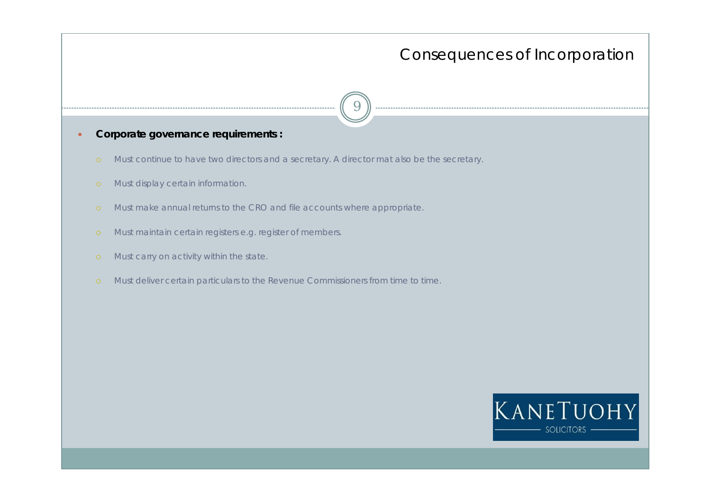### Consequences of Incorporation

- **Corporate governance requirements :**
- Must continue to have two directors and a secretary. A director mat also be the secretary.

9

Must display certain information.

 $\bullet$ 

- Must make annual returns to the CRO and file accounts where appropriate.
- Must maintain certain registers e.g. register of members.
- Must carry on activity within the state.
- Must deliver certain particulars to the Revenue Commissioners from time to time.

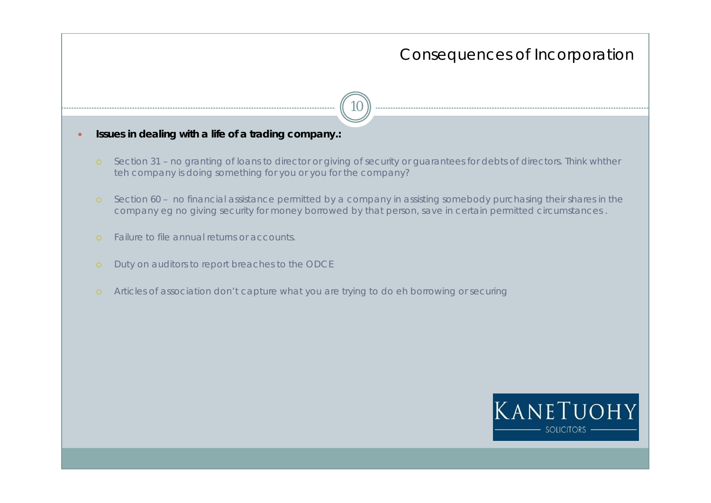### Consequences of Incorporation

10

**Issues in dealing with a life of a trading company.:**

 $\bullet$ 

- Section 31 no granting of loans to director or giving of security or guarantees for debts of directors. Think whther teh company is doing something for you or you for the company?
- Section 60 no financial assistance permitted by a company in assisting somebody purchasing their shares in the company eg no giving security for money borrowed by that person, save in certain permitted circumstances .
- Failure to file annual returns or accounts.
- Duty on auditors to report breaches to the ODCE
- Articles of association don't capture what you are trying to do eh borrowing or securing

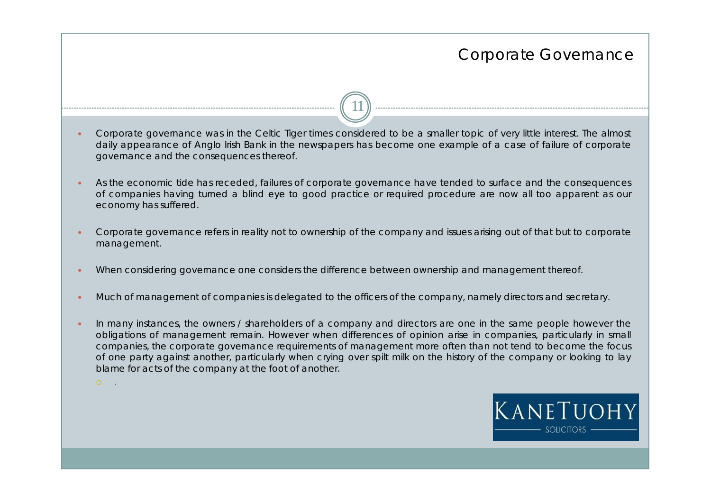$\bullet$  Corporate governance was in the Celtic Tiger times considered to be a smaller topic of very little interest. The almost daily appearance of Anglo Irish Bank in the newspapers has become one example of a case of failure of corporate governance and the consequences thereof.

11

- $\bullet$  As the economic tide has receded, failures of corporate governance have tended to surface and the consequences of companies having turned a blind eye to good practice or required procedure are now all too apparent as our economy has suffered.
- $\bullet$  Corporate governance refers in reality not to ownership of the company and issues arising out of that but to corporate management.
- $\bullet$ When considering governance one considers the difference between ownership and management thereof.

 ${\circ}$  .

- $\bullet$ Much of management of companies is delegated to the officers of the company, namely directors and secretary.
- $\bullet$  In many instances, the owners / shareholders of a company and directors are one in the same people however the obligations of management remain. However when differences of opinion arise in companies, particularly in small companies, the corporate governance requirements of management more often than not tend to become the focus of one party against another, particularly when crying over spilt milk on the history of the company or looking to lay blame for acts of the company at the foot of another.

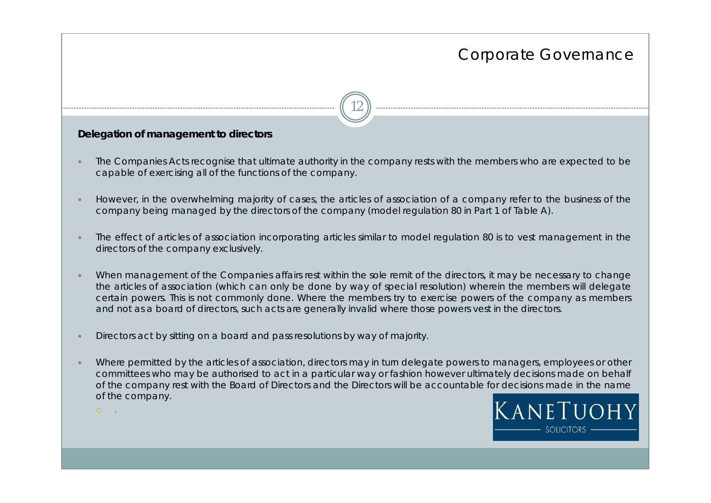# 12

### **Delegation of management to directors**

 ${\circ}$  .

- $\bullet$  The Companies Acts recognise that ultimate authority in the company rests with the members who are expected to be capable of exercising all of the functions of the company.
- $\bullet$  However, in the overwhelming majority of cases, the articles of association of a company refer to the business of the company being managed by the directors of the company (model regulation 80 in Part 1 of Table A).
- $\bullet$  The effect of articles of association incorporating articles similar to model regulation 80 is to vest management in the directors of the company exclusively.
- $\bullet$  When management of the Companies affairs rest within the sole remit of the directors, it may be necessary to change the articles of association (which can only be done by way of special resolution) wherein the members will delegate certain powers. This is not commonly done. Where the members try to exercise powers of the company as members and not as a board of directors, such acts are generally invalid where those powers vest in the directors.
- $\bullet$ Directors act by sitting on a board and pass resolutions by way of majority.
- $\bullet$  Where permitted by the articles of association, directors may in turn delegate powers to managers, employees or other committees who may be authorised to act in a particular way or fashion however ultimately decisions made on behalf of the company rest with the Board of Directors and the Directors will be accountable for decisions made in the name of the company.

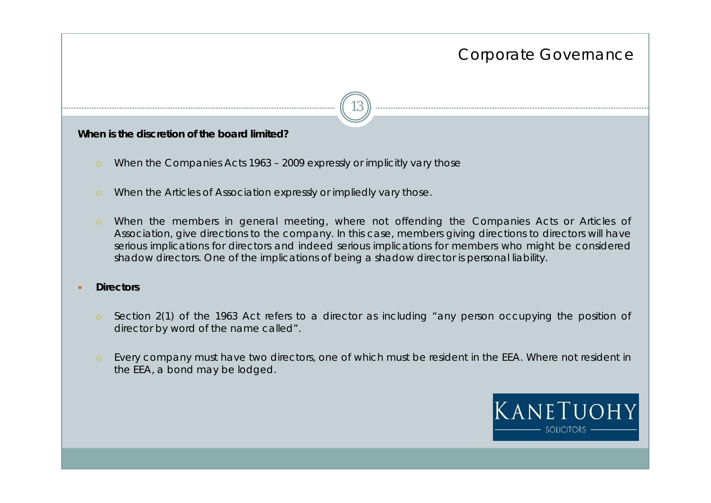13

### **When is the discretion of the board limited?**

- When the Companies Acts 1963 2009 expressly or implicitly vary those
- When the Articles of Association expressly or impliedly vary those.
- When the members in general meeting, where not offending the Companies Acts or Articles of Association, give directions to the company. In this case, members giving directions to directors will have serious implications for directors and indeed serious implications for members who might be considered shadow directors. One of the implications of being a shadow director is personal liability.

#### $\bullet$ **Directors**

- Section 2(1) of the 1963 Act refers to a director as including "any person occupying the position of director by word of the name called".
- Every company must have two directors, one of which must be resident in the EEA. Where not resident in the EEA, a bond may be lodged.

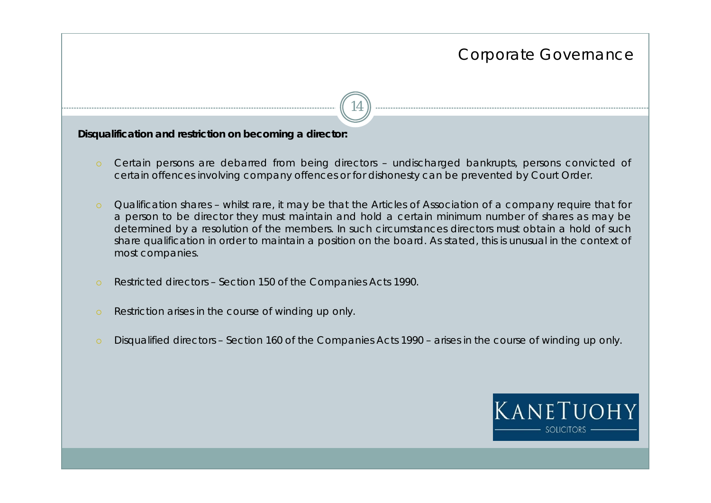**Disqualification and restriction on becoming a director:**

 Certain persons are debarred from being directors – undischarged bankrupts, persons convicted of certain offences involving company offences or for dishonesty can be prevented by Court Order.

- Qualification shares whilst rare, it may be that the Articles of Association of a company require that for a person to be director they must maintain and hold a certain minimum number of shares as may be determined by a resolution of the members. In such circumstances directors must obtain a hold of such share qualification in order to maintain a position on the board. As stated, this is unusual in the context of most companies.
- Restricted directors Section 150 of the Companies Acts 1990.
- Restriction arises in the course of winding up only.
- Disqualified directors Section 160 of the Companies Acts 1990 arises in the course of winding up only.

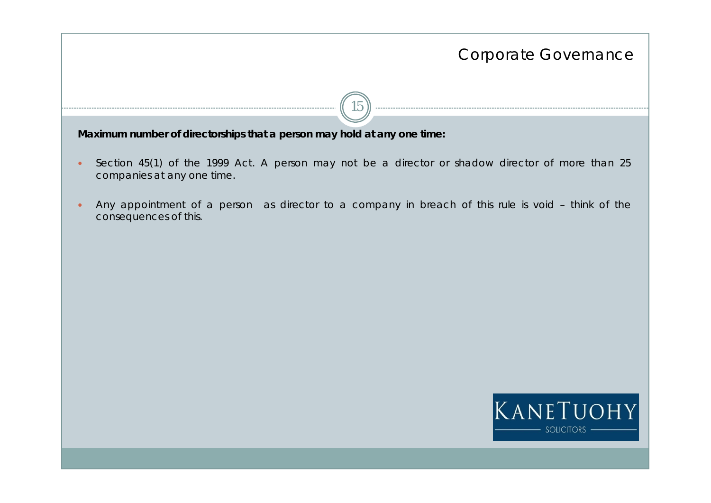15

**Maximum number of directorships that a person may hold at any one time:**

- $\bullet$  Section 45(1) of the 1999 Act. A person may not be a director or shadow director of more than 25 companies at any one time.
- $\bullet$  Any appointment of a person as director to a company in breach of this rule is void – think of the consequences of this.

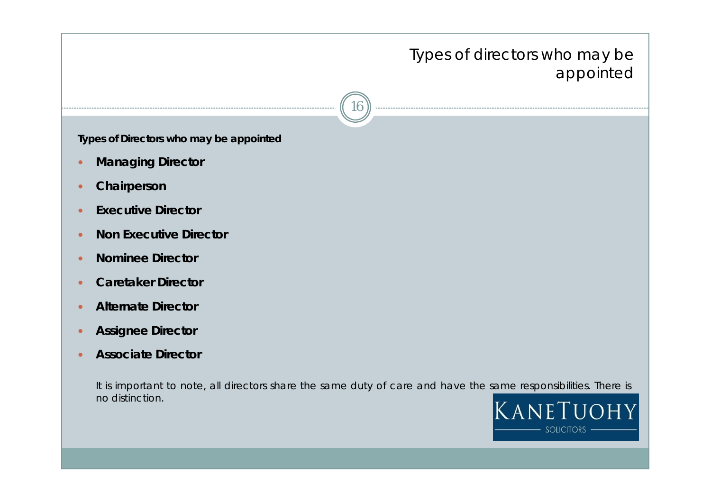## Types of directors who may be appointed appointed

16

**Types of Directors who may be appointed**

- $\bullet$ **Managing Director**
- $\bullet$ **Chairperson**
- $\bullet$ **Executive Director**
- $\bullet$ **Non Executive Director**
- $\bullet$ **Nominee Director**
- $\bullet$ **Caretaker Director**
- $\bullet$ **Alternate Director**
- $\bullet$ **Assignee Director**
- $\bullet$ **Associate Director**

It is important to note, all directors share the same duty of care and have the same responsibilities. There is no distinction.

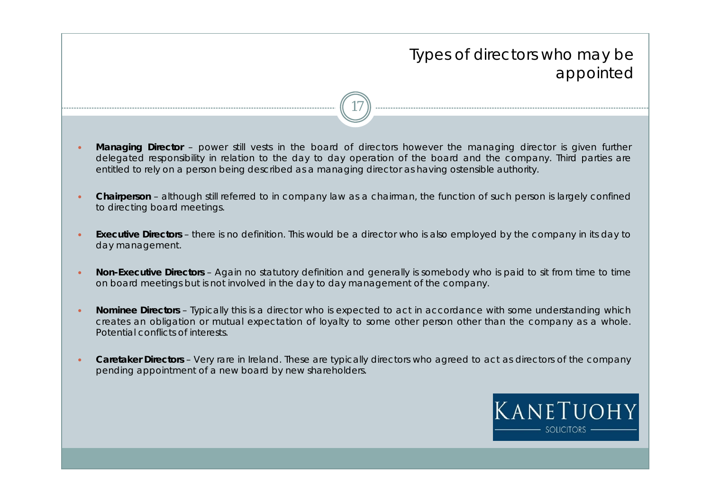## Types of directors who may be appointed appointed

 $\bullet$  **Managing Director** – power still vests in the board of directors however the managing director is given further delegated responsibility in relation to the day to day operation of the board and the company. Third parties are entitled to rely on a person being described as a managing director as having ostensible authority.

- $\bullet$  **Chairperson** – although still referred to in company law as a chairman, the function of such person is largely confined to directing board meetings.
- $\bullet$  **Executive Directors** – there is no definition. This would be a director who is also employed by the company in its day to day management.
- $\bullet$  **Non-Executive Directors** – Again no statutory definition and generally is somebody who is paid to sit from time to time on board meetings but is not involved in the day to day management of the company.
- $\bullet$  **Nominee Directors** – Typically this is a director who is expected to act in accordance with some understanding which creates an obligation or mutual expectation of loyalty to some other person other than the company as a whole. Potential conflicts of interests.
- $\bullet$  **Caretaker Directors** – Very rare in Ireland. These are typically directors who agreed to act as directors of the company pending appointment of a new board by new shareholders.

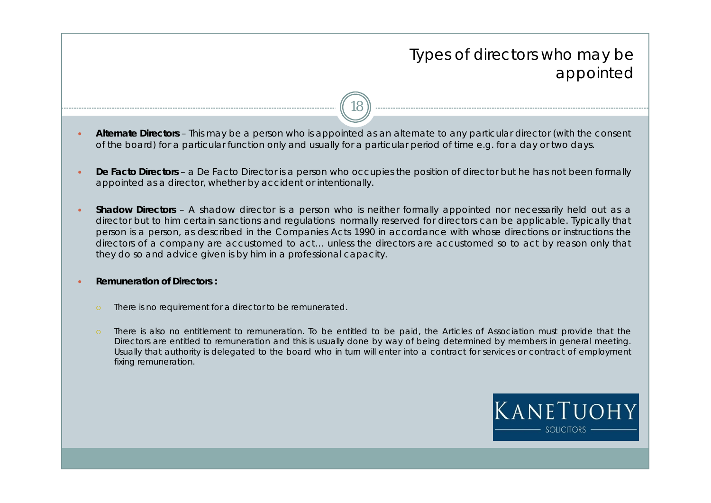## Types of directors who may be appointed appointed

 $\bullet$  **Alternate Directors** – This may be a person who is appointed as an alternate to any particular director (with the consent of the board) for a particular function only and usually for a particular period of time e.g. for a day or two days.

- $\bullet$  **De Facto Directors** – a De Facto Director is a person who occupies the position of director but he has not been formally appointed as a director, whether by accident or intentionally.
- $\bullet$  **Shadow Directors** – A shadow director is a person who is neither formally appointed nor necessarily held out as a director but to him certain sanctions and regulations normally reserved for directors can be applicable. Typically that person is a person, as described in the Companies Acts 1990 in accordance with whose directions or instructions the directors of a company are accustomed to act… unless the directors are accustomed so to act by reason only that they do so and advice given is by him in a professional capacity.
- $\bullet$  **Remuneration of Directors :**
	- There is no requirement for a director to be remunerated.
	- There is also no entitlement to remuneration. To be entitled to be paid, the Articles of Association must provide that the Directors are entitled to remuneration and this is usually done by way of being determined by members in general meeting. Usually that authority is delegated to the board who in turn will enter into a contract for services or contract of employment fixing remuneration.

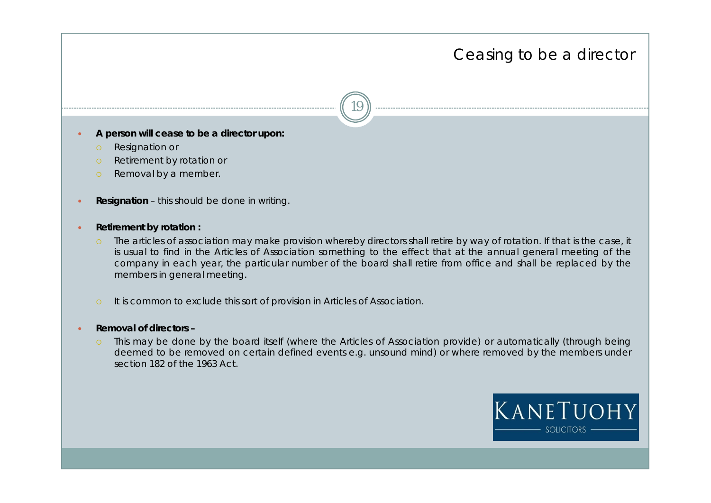### Ceasing to be a director

- $\bullet$  **A person will cease to be a director upon:**
	- Resignation or
	- Retirement by rotation or
	- Removal by a member.
- $\bullet$ **Resignation** – this should be done in writing.
- $\bullet$  **Retirement by rotation :**
	- The articles of association may make provision whereby directors shall retire by way of rotation. If that is the case, it is usual to find in the Articles of Association something to the effect that at the annual general meeting of the company in each year, the particular number of the board shall retire from office and shall be replaced by the members in general meeting.
	- It is common to exclude this sort of provision in Articles of Association.
- $\bullet$  **Removal of directors –**
	- This may be done by the board itself (where the Articles of Association provide) or automatically (through being deemed to be removed on certain defined events e.g. unsound mind) or where removed by the members under section 182 of the 1963 Act.

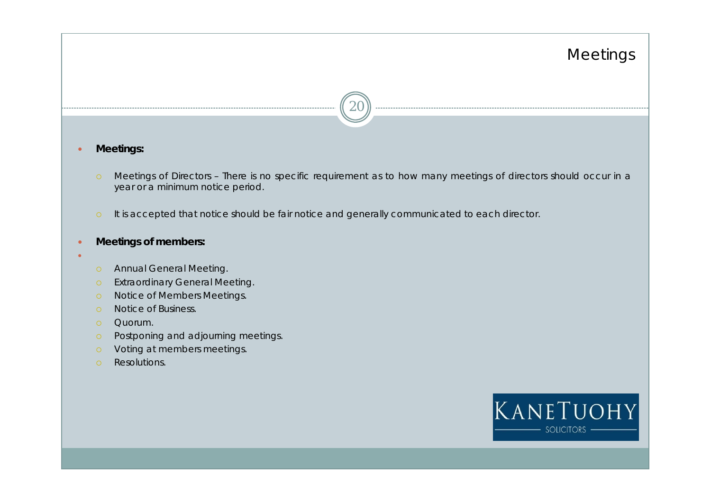## Meetings



#### $\bullet$ **Meetings:**

- Meetings of Directors There is no specific requirement as to how many meetings of directors should occur in a year or a minimum notice period.
- It is accepted that notice should be fair notice and generally communicated to each director.

#### $\bullet$ **Meetings of members:**

- $\bullet$
- Annual General Meeting.
- Extraordinary General Meeting.
- Notice of Members Meetings.
- Notice of Business.
- Quorum.
- Postponing and adjourning meetings.
- Voting at members meetings.
- Resolutions.

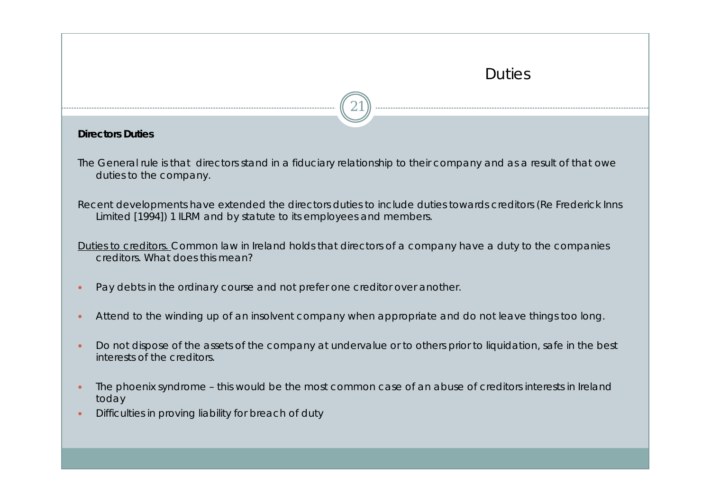### **Duties**



### **Directors Duties**

The General rule is that directors stand in a fiduciary relationship to their company and as a result of that owe duties to the company.

Recent developments have extended the directors duties to include duties towards creditors (Re Frederick Inns Limited [1994]) 1 ILRM and by statute to its employees and members.

Duties to creditors. Common law in Ireland holds that directors of a company have a duty to the companies creditors. What does this mean?

- $\bullet$ Pay debts in the ordinary course and not prefer one creditor over another.
- $\bullet$ Attend to the winding up of an insolvent company when appropriate and do not leave things too long.
- $\bullet$  Do not dispose of the assets of the company at undervalue or to others prior to liquidation, safe in the best interests of the creditors.
- $\bullet$  The phoenix syndrome – this would be the most common case of an abuse of creditors interests in Ireland today
- $\bullet$ Difficulties in proving liability for breach of duty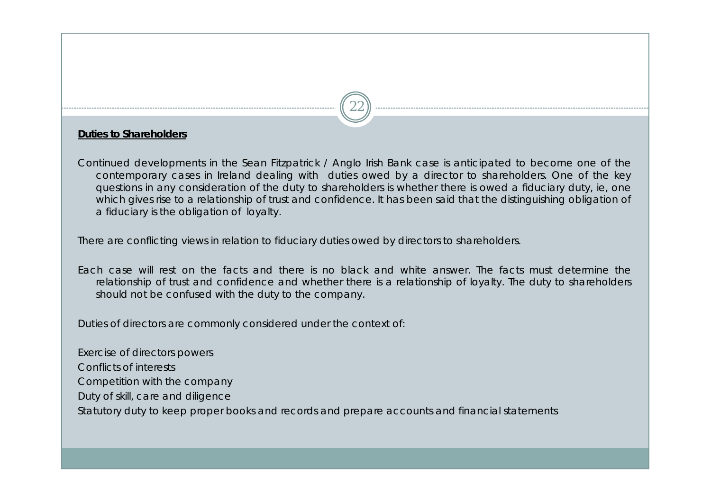### **Duties to Shareholders**

Continued developments in the Sean Fitzpatrick / Anglo Irish Bank case is anticipated to become one of the contemporary cases in Ireland dealing with duties owed by a director to shareholders. One of the key questions in any consideration of the duty to shareholders is whether there is owed a fiduciary duty, ie, one which gives rise to a relationship of trust and confidence. It has been said that the distinguishing obligation of a fiduciary is the obligation of loyalty.

22

There are conflicting views in relation to fiduciary duties owed by directors to shareholders.

Each case will rest on the facts and there is no black and white answer. The facts must determine the relationship of trust and confidence and whether there is a relationship of loyalty. The duty to shareholders should not be confused with the duty to the company.

Duties of directors are commonly considered under the context of:

Exercise of directors powers Conflicts of interestsCompetition with the company Duty of skill, care and diligence Statutory duty to keep proper books and records and prepare accounts and financial statements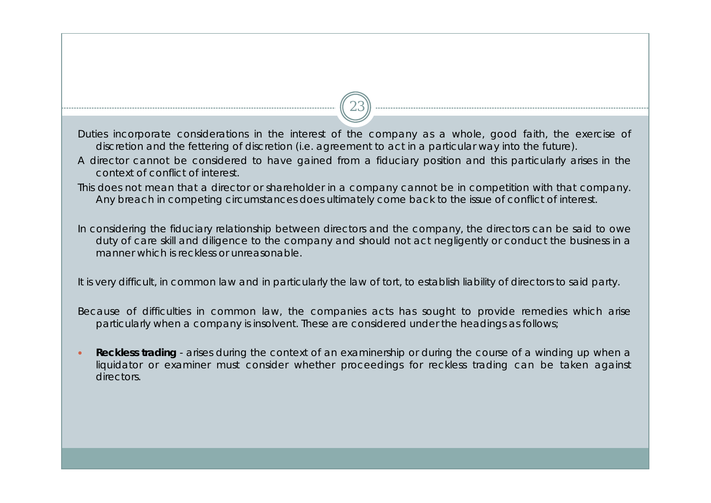Duties incorporate considerations in the interest of the company as a whole, good faith, the exercise of discretion and the fettering of discretion (i.e. agreement to act in a particular way into the future).

23

- A director cannot be considered to have gained from a fiduciary position and this particularly arises in the context of conflict of interest.
- This does not mean that a director or shareholder in a company cannot be in competition with that company. Any breach in competing circumstances does ultimately come back to the issue of conflict of interest.

In considering the fiduciary relationship between directors and the company, the directors can be said to owe duty of care skill and diligence to the company and should not act negligently or conduct the business in a manner which is reckless or unreasonable.

It is very difficult, in common law and in particularly the law of tort, to establish liability of directors to said party.

Because of difficulties in common law, the companies acts has sought to provide remedies which arise particularly when a company is insolvent. These are considered under the headings as follows;

 $\bullet$  **Reckless trading** - arises during the context of an examinership or during the course of a winding up when a liquidator or examiner must consider whether proceedings for reckless trading can be taken against directors.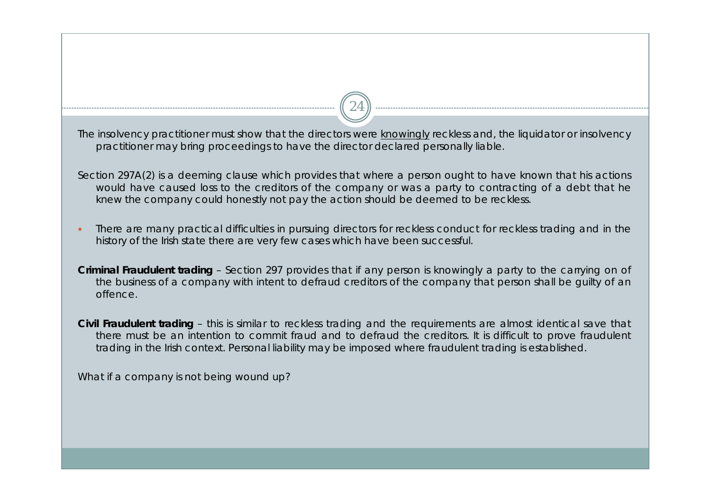The insolvency practitioner must show that the directors were knowingly reckless and, the liquidator or insolvency practitioner may bring proceedings to have the director declared personally liable.

24

Section 297A(2) is a deeming clause which provides that where a person ought to have known that his actions would have caused loss to the creditors of the company or was a party to contracting of a debt that he knew the company could honestly not pay the action should be deemed to be reckless.

- $\bullet$  There are many practical difficulties in pursuing directors for reckless conduct for reckless trading and in the history of the Irish state there are very few cases which have been successful.
- **Criminal Fraudulent trading**  Section 297 provides that if any person is knowingly a party to the carrying on of the business of a company with intent to defraud creditors of the company that person shall be guilty of an offence.

**Civil Fraudulent trading** – this is similar to reckless trading and the requirements are almost identical save that there must be an intention to commit fraud and to defraud the creditors. It is difficult to prove fraudulent trading in the Irish context. Personal liability may be imposed where fraudulent trading is established.

What if a company is not being wound up?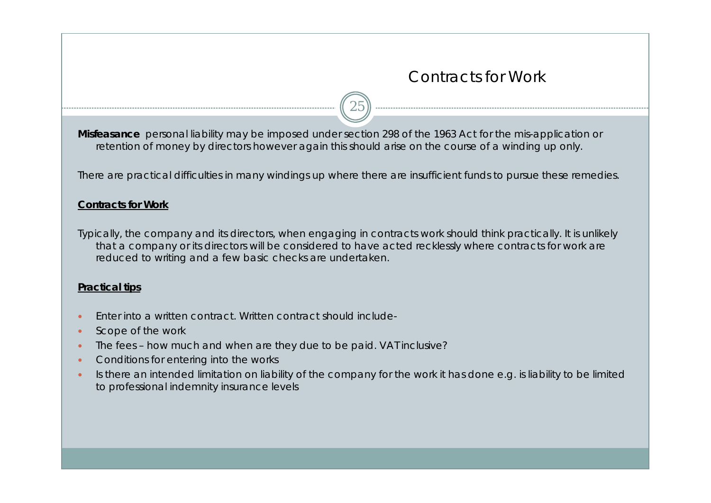### Contracts for Work

**Misfeasance** personal liability may be imposed under section 298 of the 1963 Act for the mis-application or retention of money by directors however again this should arise on the course of a winding up only.

There are practical difficulties in many windings up where there are insufficient funds to pursue these remedies.

25

### **Contracts for Work**

Typically, the company and its directors, when engaging in contracts work should think practically. It is unlikely that a company or its directors will be considered to have acted recklessly where contracts for work are reduced to writing and a few basic checks are undertaken.

### **Practical tips**

- $\bullet$ Enter into a written contract. Written contract should include-
- $\bullet$ Scope of the work
- $\bullet$ The fees – how much and when are they due to be paid. VAT inclusive?
- $\bullet$ Conditions for entering into the works
- $\bullet$  Is there an intended limitation on liability of the company for the work it has done e.g. is liability to be limited to professional indemnity insurance levels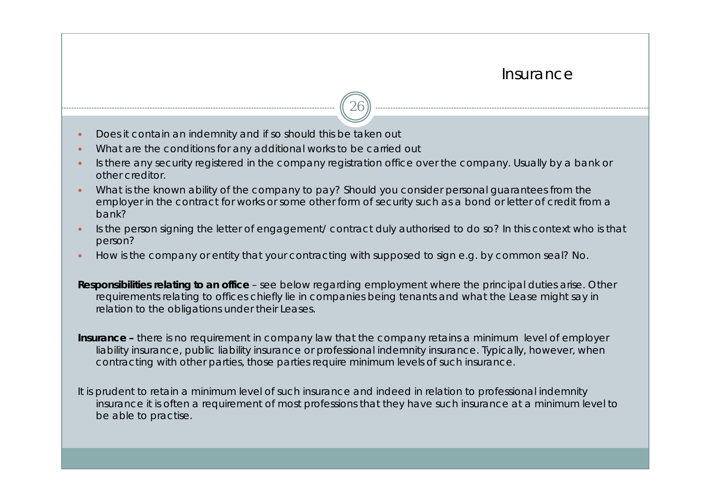### Insurance

- $\bullet$ Does it contain an indemnity and if so should this be taken out
- $\bullet$ What are the conditions for any additional works to be carried out
- $\bullet$  Is there any security registered in the company registration office over the company. Usually by a bank or other creditor.

26

- $\bullet$  What is the known ability of the company to pay? Should you consider personal guarantees from the employer in the contract for works or some other form of security such as a bond or letter of credit from a bank?
- $\bullet$  Is the person signing the letter of engagement/ contract duly authorised to do so? In this context who is that person?
- $\bullet$ How is the company or entity that your contracting with supposed to sign e.g. by common seal? No.

**Responsibilities relating to an office** – see below regarding employment where the principal duties arise. Other requirements relating to offices chiefly lie in companies being tenants and what the Lease might say in relation to the obligations under their Leases.

**Insurance –** there is no requirement in company law that the company retains a minimum level of employer liability insurance, public liability insurance or professional indemnity insurance. Typically, however, when contracting with other parties, those parties require minimum levels of such insurance.

It is prudent to retain a minimum level of such insurance and indeed in relation to professional indemnity insurance it is often a requirement of most professions that they have such insurance at a minimum level to be able to practise.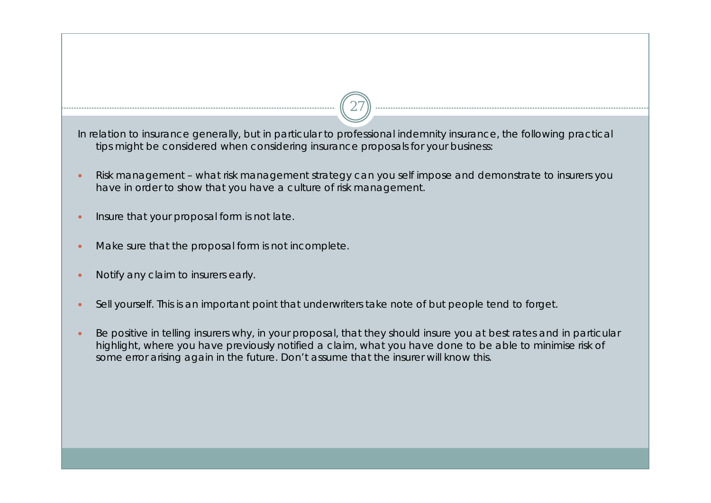In relation to insurance generally, but in particular to professional indemnity insurance, the following practical tips might be considered when considering insurance proposals for your business:

- $\bullet$  Risk management – what risk management strategy can you self impose and demonstrate to insurers you have in order to show that you have a culture of risk management.
- $\bullet$ Insure that your proposal form is not late.
- $\bullet$ Make sure that the proposal form is not incomplete.
- $\bullet$ Notify any claim to insurers early.
- $\bullet$ Sell yourself. This is an important point that underwriters take note of but people tend to forget.
- $\bullet$  Be positive in telling insurers why, in your proposal, that they should insure you at best rates and in particular highlight, where you have previously notified a claim, what you have done to be able to minimise risk of some error arising again in the future. Don't assume that the insurer will know this.